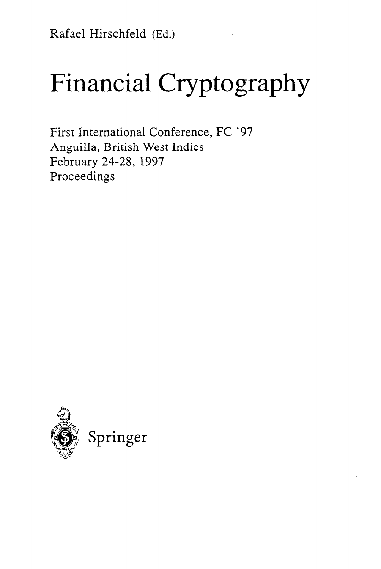Rafael Hirschfeld (Ed.)

# Financial Cryptography

First International Conference, FC '97 Anguilla, British West Indies February 24-28, 1997 Proceedings

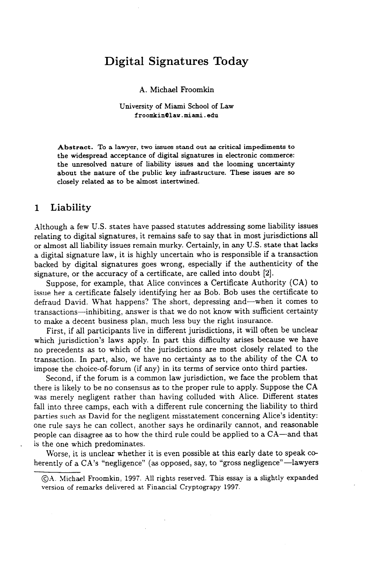# **Digital Signatures Today**

A. Michael Froomkin

**University of Miami School of Law froomkin0lav.miami.edu** 

**Abstract. To a lawyer, two issues stand out as critical impediments to the widespread acceptance of digital signatures in electronic commerce: the unresolved nature of liability issues and the looming uncertainty about the nature of the public key infrastructure. These issues are so closely related as to be almost intertwined.** 

#### **1 Liability**

.Although a few U.S. states have passed statutes addressing some liability issues relating to digital signatures, it remains safe to say that in most jurisdictions all or almost all liability issues remain murky. Certainly, in any U.S. state that lacks a digital signature law, it is highly uncertain who is responsible if a transaction backed by digital signatures goes wrong, especially if the authenticity of the signature, or the accuracy of a certificate, are called into doubt [2].

Suppose, for example, that Alice convinces a Certificate Authority (CA) to issue her a certificate falsely identifying her as Bob. Bob uses the certificate to defraud David. What happens? The short, depressing and-when it comes to transactions-inhibiting, answer is that we do not know with sufficient certainty to make a decent business plan, much less buy the right insurance.

First, if all participants live in different jurisdictions, it will often be unclear which jurisdiction's laws apply. In part this difficulty arises because we have no precedents as to which of the jurisdictions are most closely related to the transaction. In part, also, we have no certainty as to the ability of the CA to impose the choice-of-forum (if any) in its terms of service onto third parties.

Second, if the forum is a common law jurisdiction, we face the problem that there is likely to be no consensus as to the proper rule to apply. Suppose the CA was merely negligent rather than having colluded with Alice. Different states fall into three camps, each with a different rule concerning the liability to third parties such as David for the negligent misstatement concerning Alice's identity: one rule says he can collect, another says he ordinarily cannot, and reasonable people can disagree as to how the third rule could be applied to a CA-and that is the one which predominates.

Worse, it is unclear whether it is even possible at this early date to speak coherently of a CA's "negligence" (as opposed, say, to "gross negligence"—lawyers

<sup>0.4.</sup> **!vlichael Froomkin, 1997. 411 rights reserved. This essay is a slightly expanded version of remarks delivered at Financial Cryptograpy 1997.**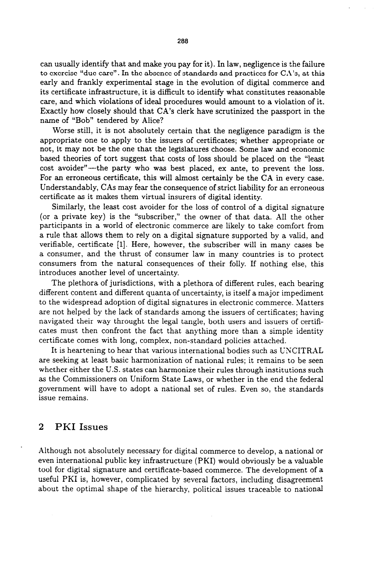can usually identify that and make you pay for it). In law, negligence is the failure to exercise "due care". In the absence of standards and practices for CA's, at this early and frankly experimental stage in the evolution of digital commerce and its certificate infrastructure, it is difficult to identify what constitutes reasonable care, and which violations of ideal procedures would amount to a violation of it. Exactly how closely should that CA's clerk have scrutinized the passport in the name of "Bob" tendered by Alice?

Worse still, it is not absolutely certain that the negligence paradigm is the appropriate one to apply to the issuers of certificates; whether appropriate or not, it may not be the one that the legislatures choose. Some law and economic based theories of tort suggest that costs of loss should be placed on the "least cost avoider"-the party who was best placed, ex ante, to prevent the loss. For an erroneous certificate, this will almost certainly be the CA in every case. Understandably, CAs may fear the consequence of strict liability for an erroneous certificate as it makes them virtual insurers of digital identity.

Similarly, the least cost avoider for the loss of control of a digital signature (or a private key) is the "subscriber," the owner of that data. All the other participants in a world of electronic commerce are likely to take comfort from a rule that allows them to rely on a digital signature supported by a valid, and verifiable, certificate [l]. Here, however, the subscriber will in many cases be a consumer, and the thrust of consumer law in many countries is to protect consumers from the natural consequences of their folly. If nothing else, this introduces another level of uncertainty.

The plethora of jurisdictions, with a plethora of different rules, each bearing different content and different quanta of uncertainty, is itself a major impediment to the widespread adoption of digital signatures in electronic commerce. Matters are not helped by the lack of standards among the issuers of certificates; having navigated their way throught the legal tangle, both users and issuers of certificates must then confront the fact that anything more than a simple identity certificate comes with long, complex, non-standard policies attached.

It is heartening to hear that various international bodies such as UXCITRAL are seeking at least basic harmonization of national rules; it remains to be seen whether either the U.S. states can harmonize their rules through institutions such as the Commissioners on Uniform State Laws, or whether in the end the federal government will have to adopt a national set of rules. Even so, the standards issue remains.

### **2 PKI Issues**

Although not absolutely necessary for digital commerce to develop, a national or even international public key infrastructure (PKI) would obviously be a valuable tool for digital signature and certificate-based commerce. The development of **a**  useful PKI is, however, complicated by several factors, including disagreement about the optimal shape of the hierarchy, political issues traceable to national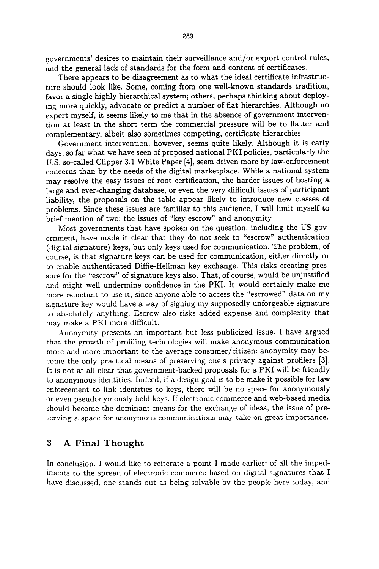governments' desires to maintain their surveillance and/or export control rules, and the general lack of standards for the form and content of certificates.

There appears to be disagreement as to what the ideal certificate infrastructure should look like. Some, coming from one well-known standards tradition, favor a single highly hierarchical system; others, perhaps thinking about deploying more quickly, advocate or predict a number of flat hierarchies. Although no expert myself, it seems likely to me that in the absence of government intervention at least in the short term the commercial pressure will be to flatter and complementary, albeit also sometimes competing, certificate hierarchies.

Government intervention, however, seems quite likely. Although it is early days, so far what we have seen of proposed national PKI policies, particularly the U.S. so-called Clipper 3.1 White Paper [4], seem driven more by law-enforcement concerns than by the needs of the digital marketplace. While a national system may resolve the easy issues of root certification, the harder issues of hosting a large and ever-changing database, or even the very difficult issues of participant liability, the proposals on the table appear likely to introduce new classes of problems. Since these issues are familiar to this audience, I will limit myself to brief mention of two: the issues of "key escrow" and anonymity.

Most governments that have spoken on the question, including the US government, have made it clear that they do not seek to "escrow" authentication (digital signature) keys, but only keys used for communication. The problem, of course, is that signature keys can be used for communication, either directly or to enable authenticated Diffie-Hellman key exchange. This risks creating pressure for the "escrow" of signature keys also. That, of course, would be unjustified and might well undermine confidence in the PKI. It would certainly make me more reluctant to use it, since anyone able to access the "escrowed" data on my signature key would have a way of signing my supposedly unforgeable signature to absolutely anything. Escrow also risks added expense and complexity that may make a PKI more difficult.

Anonymity presents an important but less publicized issue. I have argued that the growth of profiling technologies will make anonymous communication more and more important to the average consumer/citizen: anonymity may become the only practical means of preserving one's privacy against profilers [3]. It is not at all clear that government-backed proposals for a PKI will be friendly to anonymous identities, Indeed, if a design goal is to be make it possible for law enforcement to link identities to keys, there will be no space for anonymously or even pseudonymously held keys. If electronic commerce and web-based media should become the dominant means for the exchange of ideas, the issue of preserving a space for anonymous communications may take on great importance.

#### 3 **A Final Thought**

In conclusion, I would like to reiterate a point I made earlier: of all the impediments to the spread of electronic commerce based on digital signatures that I have discussed, one stands out as being solvable by the people here today, and